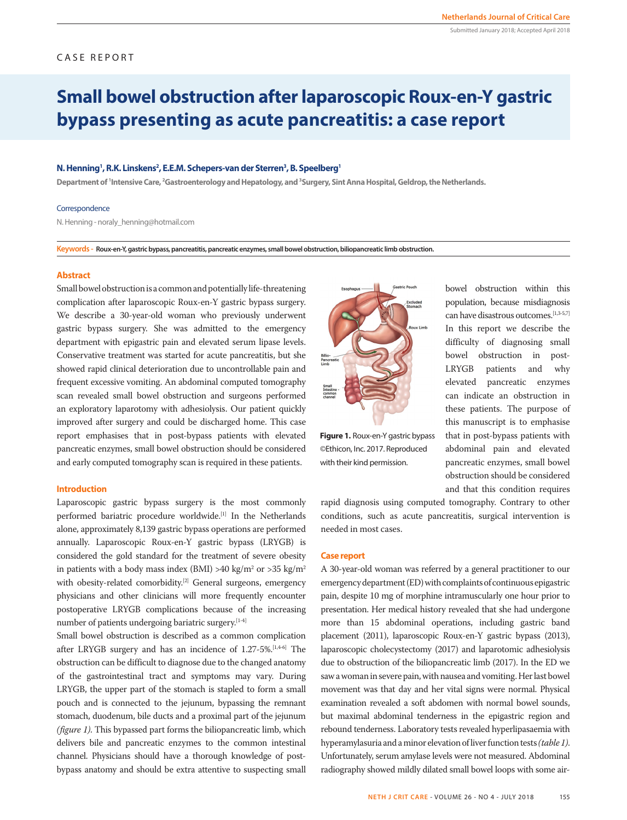## CASE REPORT

# **Small bowel obstruction after laparoscopic Roux-en-Y gastric bypass presenting as acute pancreatitis: a case report**

#### **N. Henning1 , R.K. Linskens2 , E.E.M. Schepers-van der Sterren3 , B. Speelberg1**

**Department of 1 Intensive Care, 2 Gastroenterology and Hepatology, and 3 Surgery, Sint Anna Hospital, Geldrop, the Netherlands.**

#### **Correspondence**

N. Henning - noraly\_henning@hotmail.com

**Keywords - Roux-en-Y, gastric bypass, pancreatitis, pancreatic enzymes, small bowel obstruction, biliopancreatic limb obstruction.**

#### **Abstract**

Small bowel obstruction is a common and potentially life-threatening complication after laparoscopic Roux-en-Y gastric bypass surgery. We describe a 30-year-old woman who previously underwent gastric bypass surgery. She was admitted to the emergency department with epigastric pain and elevated serum lipase levels. Conservative treatment was started for acute pancreatitis, but she showed rapid clinical deterioration due to uncontrollable pain and frequent excessive vomiting. An abdominal computed tomography scan revealed small bowel obstruction and surgeons performed an exploratory laparotomy with adhesiolysis. Our patient quickly improved after surgery and could be discharged home. This case report emphasises that in post-bypass patients with elevated pancreatic enzymes, small bowel obstruction should be considered and early computed tomography scan is required in these patients.

## **Introduction**

Laparoscopic gastric bypass surgery is the most commonly performed bariatric procedure worldwide.[1] In the Netherlands alone, approximately 8,139 gastric bypass operations are performed annually. Laparoscopic Roux-en-Y gastric bypass (LRYGB) is considered the gold standard for the treatment of severe obesity in patients with a body mass index (BMI) >40 kg/m² or >35 kg/m² with obesity-related comorbidity.<sup>[2]</sup> General surgeons, emergency physicians and other clinicians will more frequently encounter postoperative LRYGB complications because of the increasing number of patients undergoing bariatric surgery.[1-4]

Small bowel obstruction is described as a common complication after LRYGB surgery and has an incidence of 1.27-5%.[1,4-6] The obstruction can be difficult to diagnose due to the changed anatomy of the gastrointestinal tract and symptoms may vary. During LRYGB, the upper part of the stomach is stapled to form a small pouch and is connected to the jejunum, bypassing the remnant stomach, duodenum, bile ducts and a proximal part of the jejunum *(figure 1)*. This bypassed part forms the biliopancreatic limb, which delivers bile and pancreatic enzymes to the common intestinal channel. Physicians should have a thorough knowledge of postbypass anatomy and should be extra attentive to suspecting small



**Figure 1.** Roux-en-Y gastric bypass ©Ethicon, Inc. 2017. Reproduced with their kind permission.

bowel obstruction within this population, because misdiagnosis can have disastrous outcomes.[1,3-5,7] In this report we describe the difficulty of diagnosing small bowel obstruction in post-LRYGB patients and why elevated pancreatic enzymes can indicate an obstruction in these patients. The purpose of this manuscript is to emphasise that in post-bypass patients with abdominal pain and elevated pancreatic enzymes, small bowel obstruction should be considered and that this condition requires

rapid diagnosis using computed tomography. Contrary to other conditions, such as acute pancreatitis, surgical intervention is needed in most cases.

#### **Case report**

A 30-year-old woman was referred by a general practitioner to our emergency department (ED) with complaints of continuous epigastric pain, despite 10 mg of morphine intramuscularly one hour prior to presentation. Her medical history revealed that she had undergone more than 15 abdominal operations, including gastric band placement (2011), laparoscopic Roux-en-Y gastric bypass (2013), laparoscopic cholecystectomy (2017) and laparotomic adhesiolysis due to obstruction of the biliopancreatic limb (2017). In the ED we saw a woman in severe pain, with nausea and vomiting. Her last bowel movement was that day and her vital signs were normal. Physical examination revealed a soft abdomen with normal bowel sounds, but maximal abdominal tenderness in the epigastric region and rebound tenderness. Laboratory tests revealed hyperlipasaemia with hyperamylasuria and a minor elevation of liver function tests *(table 1)*. Unfortunately, serum amylase levels were not measured. Abdominal radiography showed mildly dilated small bowel loops with some air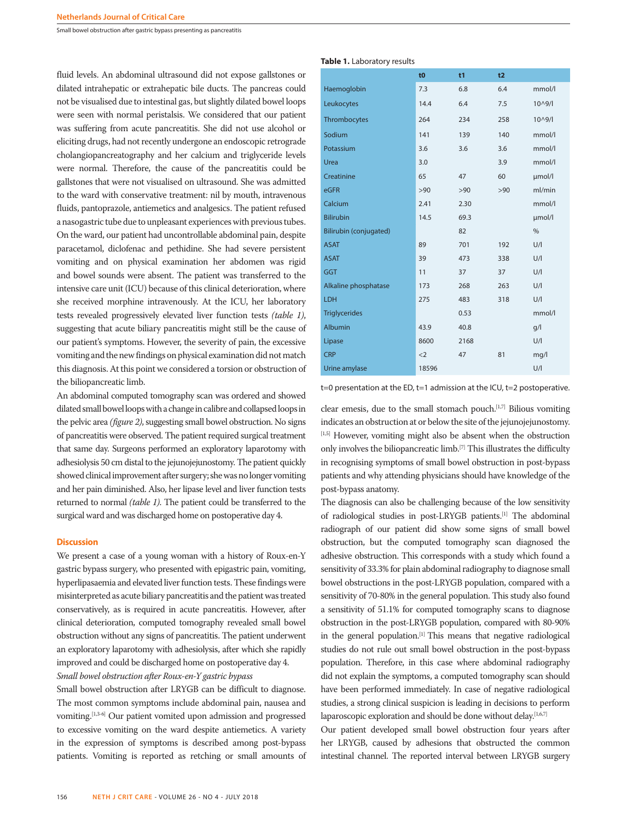Small bowel obstruction after gastric bypass presenting as pancreatitis

fluid levels. An abdominal ultrasound did not expose gallstones or dilated intrahepatic or extrahepatic bile ducts. The pancreas could not be visualised due to intestinal gas, but slightly dilated bowel loops were seen with normal peristalsis. We considered that our patient was suffering from acute pancreatitis. She did not use alcohol or eliciting drugs, had not recently undergone an endoscopic retrograde cholangiopancreatography and her calcium and triglyceride levels were normal. Therefore, the cause of the pancreatitis could be gallstones that were not visualised on ultrasound. She was admitted to the ward with conservative treatment: nil by mouth, intravenous fluids, pantoprazole, antiemetics and analgesics. The patient refused a nasogastric tube due to unpleasant experiences with previous tubes. On the ward, our patient had uncontrollable abdominal pain, despite paracetamol, diclofenac and pethidine. She had severe persistent vomiting and on physical examination her abdomen was rigid and bowel sounds were absent. The patient was transferred to the intensive care unit (ICU) because of this clinical deterioration, where she received morphine intravenously. At the ICU, her laboratory tests revealed progressively elevated liver function tests *(table 1)*, suggesting that acute biliary pancreatitis might still be the cause of our patient's symptoms. However, the severity of pain, the excessive vomiting and the new findings on physical examination did not match this diagnosis. At this point we considered a torsion or obstruction of the biliopancreatic limb.

An abdominal computed tomography scan was ordered and showed dilated small bowel loops with a change in calibre and collapsed loops in the pelvic area *(figure 2)*, suggesting small bowel obstruction. No signs of pancreatitis were observed. The patient required surgical treatment that same day. Surgeons performed an exploratory laparotomy with adhesiolysis 50 cm distal to the jejunojejunostomy. The patient quickly showed clinical improvement after surgery; she was no longer vomiting and her pain diminished. Also, her lipase level and liver function tests returned to normal *(table 1)*. The patient could be transferred to the surgical ward and was discharged home on postoperative day 4.

#### **Discussion**

We present a case of a young woman with a history of Roux-en-Y gastric bypass surgery, who presented with epigastric pain, vomiting, hyperlipasaemia and elevated liver function tests. These findings were misinterpreted as acute biliary pancreatitis and the patient was treated conservatively, as is required in acute pancreatitis. However, after clinical deterioration, computed tomography revealed small bowel obstruction without any signs of pancreatitis. The patient underwent an exploratory laparotomy with adhesiolysis, after which she rapidly improved and could be discharged home on postoperative day 4. *Small bowel obstruction after Roux-en-Y gastric bypass* 

Small bowel obstruction after LRYGB can be difficult to diagnose. The most common symptoms include abdominal pain, nausea and vomiting.[1,3-6] Our patient vomited upon admission and progressed to excessive vomiting on the ward despite antiemetics. A variety in the expression of symptoms is described among post-bypass patients. Vomiting is reported as retching or small amounts of

## **Table 1.** Laboratory results

| t <sub>0</sub> | t1   | t2  |            |
|----------------|------|-----|------------|
| 7.3            | 6.8  | 6.4 | mmol/l     |
| 14.4           | 6.4  | 7.5 | $10^{0.9}$ |
| 264            | 234  | 258 | $10^{0.9}$ |
| 141            | 139  | 140 | mmol/l     |
| 3.6            | 3.6  | 3.6 | mmol/l     |
| 3.0            |      | 3.9 | mmol/l     |
| 65             | 47   | 60  | µmol/l     |
| >90            | >90  | >90 | ml/min     |
| 2.41           | 2.30 |     | mmol/l     |
| 14.5           | 69.3 |     | umol/l     |
|                | 82   |     | $\%$       |
| 89             | 701  | 192 | U/I        |
| 39             | 473  | 338 | U/I        |
| 11             | 37   | 37  | U/I        |
| 173            | 268  | 263 | U/I        |
| 275            | 483  | 318 | U/I        |
|                | 0.53 |     | mmol/l     |
| 43.9           | 40.8 |     | q/l        |
| 8600           | 2168 |     | U/I        |
| $<$ 2          | 47   | 81  | mq/l       |
| 18596          |      |     | U/I        |
|                |      |     |            |

 $t=0$  presentation at the ED,  $t=1$  admission at the ICU,  $t=2$  postoperative.

clear emesis, due to the small stomach pouch.[1,7] Bilious vomiting indicates an obstruction at or below the site of the jejunojejunostomy. [1,5] However, vomiting might also be absent when the obstruction only involves the biliopancreatic limb.[7] This illustrates the difficulty in recognising symptoms of small bowel obstruction in post-bypass patients and why attending physicians should have knowledge of the post-bypass anatomy.

The diagnosis can also be challenging because of the low sensitivity of radiological studies in post-LRYGB patients.[1] The abdominal radiograph of our patient did show some signs of small bowel obstruction, but the computed tomography scan diagnosed the adhesive obstruction. This corresponds with a study which found a sensitivity of 33.3% for plain abdominal radiography to diagnose small bowel obstructions in the post-LRYGB population, compared with a sensitivity of 70-80% in the general population. This study also found a sensitivity of 51.1% for computed tomography scans to diagnose obstruction in the post-LRYGB population, compared with 80-90% in the general population.<sup>[1]</sup> This means that negative radiological studies do not rule out small bowel obstruction in the post-bypass population. Therefore, in this case where abdominal radiography did not explain the symptoms, a computed tomography scan should have been performed immediately. In case of negative radiological studies, a strong clinical suspicion is leading in decisions to perform laparoscopic exploration and should be done without delay.[1,6,7]

Our patient developed small bowel obstruction four years after her LRYGB, caused by adhesions that obstructed the common intestinal channel. The reported interval between LRYGB surgery